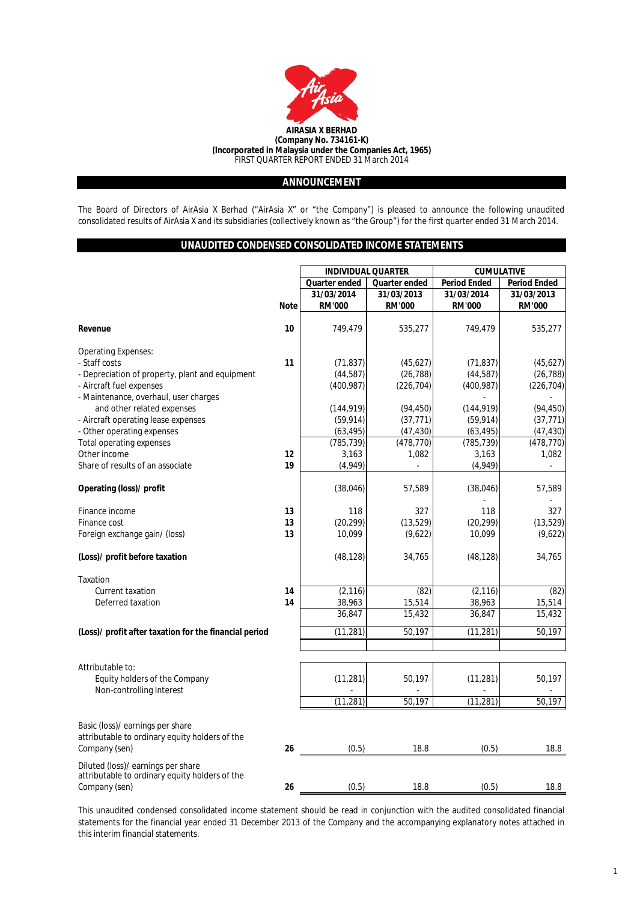

# **ANNOUNCEMENT**

The Board of Directors of AirAsia X Berhad ("AirAsia X" or "the Company") is pleased to announce the following unaudited consolidated results of AirAsia X and its subsidiaries (collectively known as "the Group") for the first quarter ended 31 March 2014.

# **UNAUDITED CONDENSED CONSOLIDATED INCOME STATEMENTS**

|                                                                                    |             | <b>INDIVIDUAL QUARTER</b> |                      | <b>CUMULATIVE</b>   |                     |  |
|------------------------------------------------------------------------------------|-------------|---------------------------|----------------------|---------------------|---------------------|--|
|                                                                                    |             | Quarter ended             | <b>Quarter ended</b> | <b>Period Ended</b> | <b>Period Ended</b> |  |
|                                                                                    |             | 31/03/2014                | 31/03/2013           | 31/03/2014          | 31/03/2013          |  |
|                                                                                    | <b>Note</b> | <b>RM'000</b>             | <b>RM'000</b>        | <b>RM'000</b>       | <b>RM'000</b>       |  |
|                                                                                    |             |                           |                      |                     |                     |  |
| Revenue                                                                            | 10          | 749,479                   | 535,277              | 749,479             | 535,277             |  |
| <b>Operating Expenses:</b>                                                         |             |                           |                      |                     |                     |  |
| - Staff costs                                                                      | 11          | (71, 837)                 | (45, 627)            | (71, 837)           | (45,627)            |  |
| - Depreciation of property, plant and equipment                                    |             | (44, 587)                 | (26, 788)            | (44, 587)           | (26, 788)           |  |
| - Aircraft fuel expenses                                                           |             | (400, 987)                | (226, 704)           | (400, 987)          | (226, 704)          |  |
| - Maintenance, overhaul, user charges                                              |             |                           |                      |                     |                     |  |
| and other related expenses                                                         |             | (144, 919)                | (94, 450)            | (144, 919)          | (94, 450)           |  |
| - Aircraft operating lease expenses                                                |             | (59, 914)                 | (37, 771)            | (59, 914)           | (37, 771)           |  |
| - Other operating expenses                                                         |             | (63, 495)                 | (47, 430)            | (63, 495)           | (47, 430)           |  |
| Total operating expenses                                                           |             | (785, 739)                | (478, 770)           | (785, 739)          | (478, 770)          |  |
| Other income                                                                       | 12          | 3,163                     | 1,082                | 3,163               | 1,082               |  |
| Share of results of an associate                                                   | 19          | (4,949)                   | $\overline{a}$       | (4,949)             | $\overline{a}$      |  |
|                                                                                    |             |                           |                      |                     |                     |  |
| Operating (loss)/ profit                                                           |             | (38,046)                  | 57,589               | (38,046)            | 57,589              |  |
|                                                                                    |             |                           |                      |                     |                     |  |
| Finance income                                                                     | 13          | 118                       | 327                  | 118                 | 327                 |  |
| Finance cost                                                                       | 13          | (20, 299)                 | (13, 529)            | (20, 299)           | (13, 529)           |  |
| Foreign exchange gain/ (loss)                                                      | 13          | 10,099                    | (9,622)              | 10,099              | (9,622)             |  |
| (Loss)/ profit before taxation                                                     |             | (48, 128)                 | 34,765               | (48, 128)           | 34,765              |  |
|                                                                                    |             |                           |                      |                     |                     |  |
| Taxation                                                                           |             |                           |                      |                     |                     |  |
| <b>Current taxation</b>                                                            | 14          | (2, 116)                  | (82)                 | (2, 116)            | (82)                |  |
| Deferred taxation                                                                  | 14          | 38,963                    | 15,514               | 38,963              | 15,514              |  |
|                                                                                    |             | 36,847                    | 15,432               | 36,847              | 15,432              |  |
| (Loss)/ profit after taxation for the financial period                             |             | (11, 281)                 | 50,197               | (11, 281)           | 50,197              |  |
|                                                                                    |             |                           |                      |                     |                     |  |
|                                                                                    |             |                           |                      |                     |                     |  |
| Attributable to:                                                                   |             |                           |                      |                     |                     |  |
| Equity holders of the Company                                                      |             | (11, 281)                 | 50,197               | (11, 281)           | 50,197              |  |
| Non-controlling Interest                                                           |             |                           |                      |                     |                     |  |
|                                                                                    |             | (11, 281)                 | 50,197               | (11, 281)           | 50,197              |  |
|                                                                                    |             |                           |                      |                     |                     |  |
| Basic (loss)/ earnings per share<br>attributable to ordinary equity holders of the |             |                           |                      |                     |                     |  |
| Company (sen)                                                                      | 26          | (0.5)                     | 18.8                 | (0.5)               | 18.8                |  |
|                                                                                    |             |                           |                      |                     |                     |  |
| Diluted (loss)/ earnings per share                                                 |             |                           |                      |                     |                     |  |
| attributable to ordinary equity holders of the                                     |             |                           |                      |                     |                     |  |
| Company (sen)                                                                      | 26          | (0.5)                     | 18.8                 | (0.5)               | 18.8                |  |

This unaudited condensed consolidated income statement should be read in conjunction with the audited consolidated financial statements for the financial year ended 31 December 2013 of the Company and the accompanying explanatory notes attached in this interim financial statements.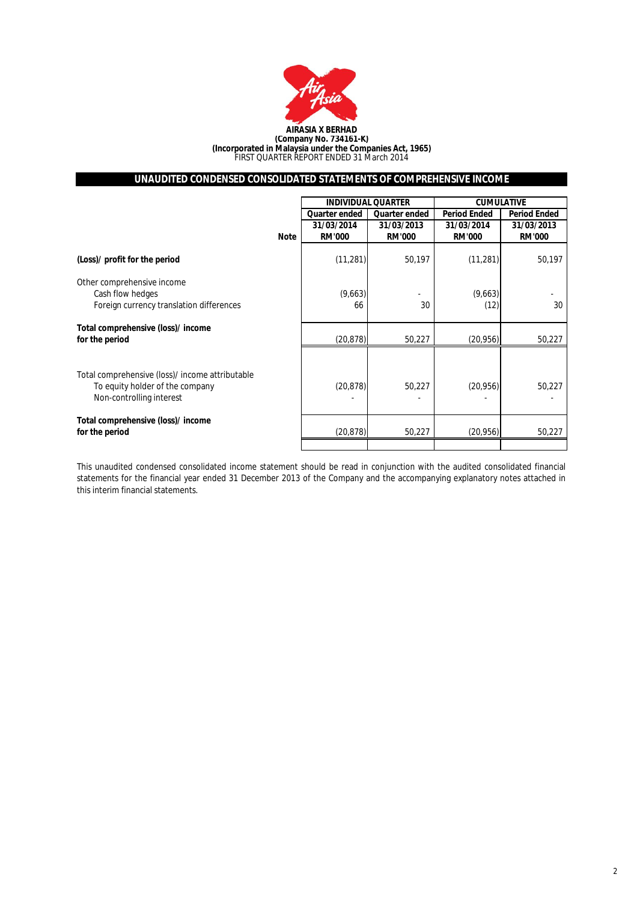

# **UNAUDITED CONDENSED CONSOLIDATED STATEMENTS OF COMPREHENSIVE INCOME**

|                                                                                                                |             |                             | <b>INDIVIDUAL QUARTER</b>   | <b>CUMULATIVE</b>           |                             |  |
|----------------------------------------------------------------------------------------------------------------|-------------|-----------------------------|-----------------------------|-----------------------------|-----------------------------|--|
|                                                                                                                |             | Quarter ended               | Quarter ended               | <b>Period Ended</b>         | <b>Period Ended</b>         |  |
|                                                                                                                | <b>Note</b> | 31/03/2014<br><b>RM'000</b> | 31/03/2013<br><b>RM'000</b> | 31/03/2014<br><b>RM'000</b> | 31/03/2013<br><b>RM'000</b> |  |
| (Loss)/ profit for the period                                                                                  |             | (11, 281)                   | 50,197                      | (11, 281)                   | 50,197                      |  |
| Other comprehensive income<br>Cash flow hedges<br>Foreign currency translation differences                     |             | (9,663)<br>66               | 30                          | (9,663)<br>(12)             | 30                          |  |
| Total comprehensive (loss)/ income<br>for the period                                                           |             | (20, 878)                   | 50,227                      | (20, 956)                   | 50,227                      |  |
| Total comprehensive (loss)/ income attributable<br>To equity holder of the company<br>Non-controlling interest |             | (20, 878)                   | 50,227                      | (20, 956)                   | 50,227                      |  |
| Total comprehensive (loss)/ income<br>for the period                                                           |             | (20, 878)                   | 50,227                      | (20, 956)                   | 50,227                      |  |
|                                                                                                                |             |                             |                             |                             |                             |  |

This unaudited condensed consolidated income statement should be read in conjunction with the audited consolidated financial statements for the financial year ended 31 December 2013 of the Company and the accompanying explanatory notes attached in this interim financial statements.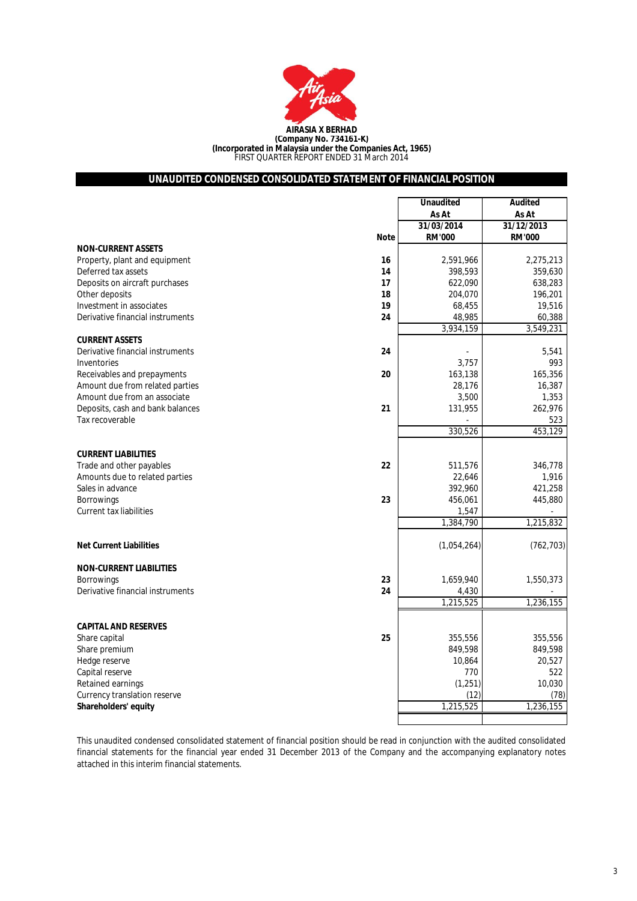

# **UNAUDITED CONDENSED CONSOLIDATED STATEMENT OF FINANCIAL POSITION**

|                                        | <b>Unaudited</b> | <b>Audited</b> |
|----------------------------------------|------------------|----------------|
|                                        | As At            | As At          |
|                                        | 31/03/2014       | 31/12/2013     |
| <b>Note</b>                            | <b>RM'000</b>    | <b>RM'000</b>  |
| <b>NON-CURRENT ASSETS</b>              |                  |                |
| Property, plant and equipment<br>16    | 2,591,966        | 2,275,213      |
| Deferred tax assets<br>14              | 398,593          | 359,630        |
| Deposits on aircraft purchases<br>17   | 622,090          | 638,283        |
| Other deposits<br>18                   | 204,070          | 196,201        |
| 19<br>Investment in associates         | 68,455           | 19,516         |
| Derivative financial instruments<br>24 | 48,985           | 60,388         |
|                                        | 3,934,159        | 3,549,231      |
| <b>CURRENT ASSETS</b>                  |                  |                |
| Derivative financial instruments<br>24 |                  | 5,541          |
| Inventories                            | 3,757            | 993            |
| Receivables and prepayments<br>20      | 163,138          | 165,356        |
| Amount due from related parties        | 28,176           | 16,387         |
| Amount due from an associate           | 3,500            | 1,353          |
| Deposits, cash and bank balances<br>21 | 131,955          | 262,976        |
| Tax recoverable                        |                  | 523            |
|                                        | 330,526          | 453,129        |
|                                        |                  |                |
| <b>CURRENT LIABILITIES</b>             |                  |                |
| 22<br>Trade and other payables         | 511,576          | 346,778        |
| Amounts due to related parties         | 22,646           | 1,916          |
| Sales in advance                       | 392,960          | 421,258        |
| 23<br><b>Borrowings</b>                | 456,061          | 445,880        |
| <b>Current tax liabilities</b>         | 1,547            |                |
|                                        | 1,384,790        | 1,215,832      |
|                                        |                  |                |
| <b>Net Current Liabilities</b>         | (1,054,264)      | (762, 703)     |
|                                        |                  |                |
| <b>NON-CURRENT LIABILITIES</b>         |                  |                |
| <b>Borrowings</b><br>23                | 1,659,940        | 1,550,373      |
| Derivative financial instruments<br>24 | 4,430            |                |
|                                        | 1,215,525        | 1,236,155      |
|                                        |                  |                |
| <b>CAPITAL AND RESERVES</b><br>25      |                  | 355,556        |
| Share capital                          | 355.556          |                |
| Share premium                          | 849,598          | 849,598        |
| Hedge reserve                          | 10,864           | 20,527         |
| Capital reserve                        | 770              | 522            |
| Retained earnings                      | (1, 251)         | 10,030         |
| Currency translation reserve           | (12)             | (78)           |
| Shareholders' equity                   | 1,215,525        | 1,236,155      |
|                                        |                  |                |

This unaudited condensed consolidated statement of financial position should be read in conjunction with the audited consolidated financial statements for the financial year ended 31 December 2013 of the Company and the accompanying explanatory notes attached in this interim financial statements.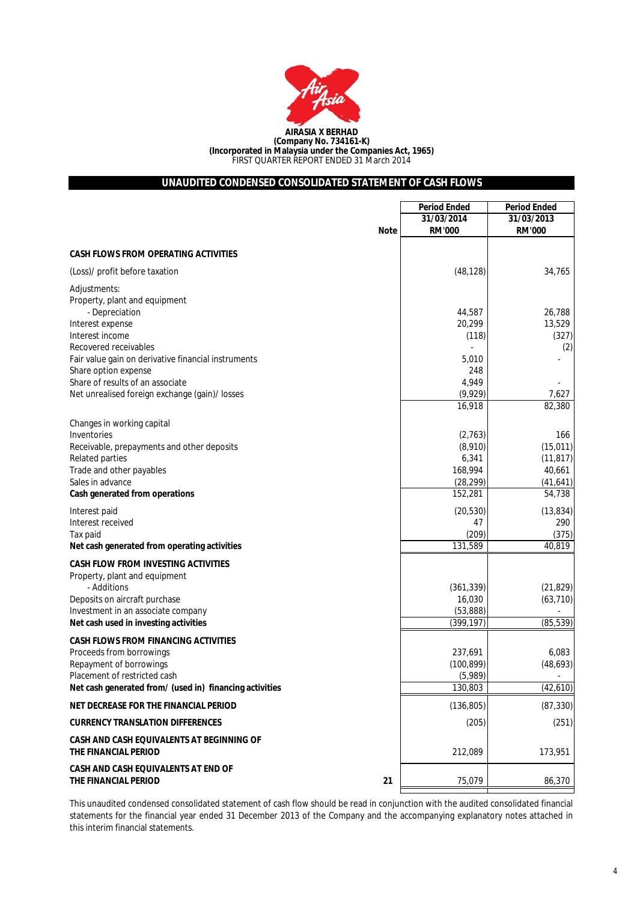

# **UNAUDITED CONDENSED CONSOLIDATED STATEMENT OF CASH FLOWS**

|                                                                   | <b>Period Ended</b> | <b>Period Ended</b> |
|-------------------------------------------------------------------|---------------------|---------------------|
|                                                                   | 31/03/2014          | 31/03/2013          |
| <b>Note</b>                                                       | <b>RM'000</b>       | <b>RM'000</b>       |
| <b>CASH FLOWS FROM OPERATING ACTIVITIES</b>                       |                     |                     |
| (Loss)/ profit before taxation                                    | (48, 128)           | 34,765              |
| Adjustments:                                                      |                     |                     |
| Property, plant and equipment                                     |                     |                     |
| - Depreciation                                                    | 44,587              | 26,788              |
| Interest expense                                                  | 20,299              | 13,529              |
| Interest income<br>Recovered receivables                          | (118)               | (327)               |
| Fair value gain on derivative financial instruments               | 5,010               | (2)                 |
| Share option expense                                              | 248                 |                     |
| Share of results of an associate                                  | 4,949               |                     |
| Net unrealised foreign exchange (gain)/ losses                    | (9,929)             | 7,627               |
|                                                                   | 16,918              | 82,380              |
| Changes in working capital                                        |                     |                     |
| Inventories                                                       | (2,763)             | 166                 |
| Receivable, prepayments and other deposits                        | (8,910)             | (15, 011)           |
| Related parties                                                   | 6,341               | (11, 817)           |
| Trade and other payables                                          | 168,994             | 40,661              |
| Sales in advance                                                  | (28, 299)           | (41,641)            |
| Cash generated from operations                                    | 152,281             | 54,738              |
| Interest paid                                                     | (20, 530)           | (13, 834)           |
| Interest received                                                 | 47                  | 290                 |
| Tax paid                                                          | (209)               | (375)               |
| Net cash generated from operating activities                      | 131,589             | 40,819              |
| <b>CASH FLOW FROM INVESTING ACTIVITIES</b>                        |                     |                     |
| Property, plant and equipment                                     |                     |                     |
| - Additions                                                       | (361, 339)          | (21, 829)           |
| Deposits on aircraft purchase                                     | 16,030              | (63, 710)           |
| Investment in an associate company                                | (53, 888)           |                     |
| Net cash used in investing activities                             | (399, 197)          | (85, 539)           |
| <b>CASH FLOWS FROM FINANCING ACTIVITIES</b>                       |                     |                     |
| Proceeds from borrowings                                          | 237,691             | 6,083               |
| Repayment of borrowings                                           | (100, 899)          | (48, 693)           |
| Placement of restricted cash                                      | (5,989)             | -                   |
| Net cash generated from/ (used in) financing activities           | 130,803             | (42, 610)           |
| NET DECREASE FOR THE FINANCIAL PERIOD                             | (136, 805)          | (87, 330)           |
| <b>CURRENCY TRANSLATION DIFFERENCES</b>                           | (205)               | (251)               |
| CASH AND CASH EQUIVALENTS AT BEGINNING OF<br>THE FINANCIAL PERIOD | 212,089             | 173,951             |
| CASH AND CASH EQUIVALENTS AT END OF<br>THE FINANCIAL PERIOD<br>21 | 75,079              | 86,370              |
|                                                                   |                     |                     |

This unaudited condensed consolidated statement of cash flow should be read in conjunction with the audited consolidated financial statements for the financial year ended 31 December 2013 of the Company and the accompanying explanatory notes attached in this interim financial statements.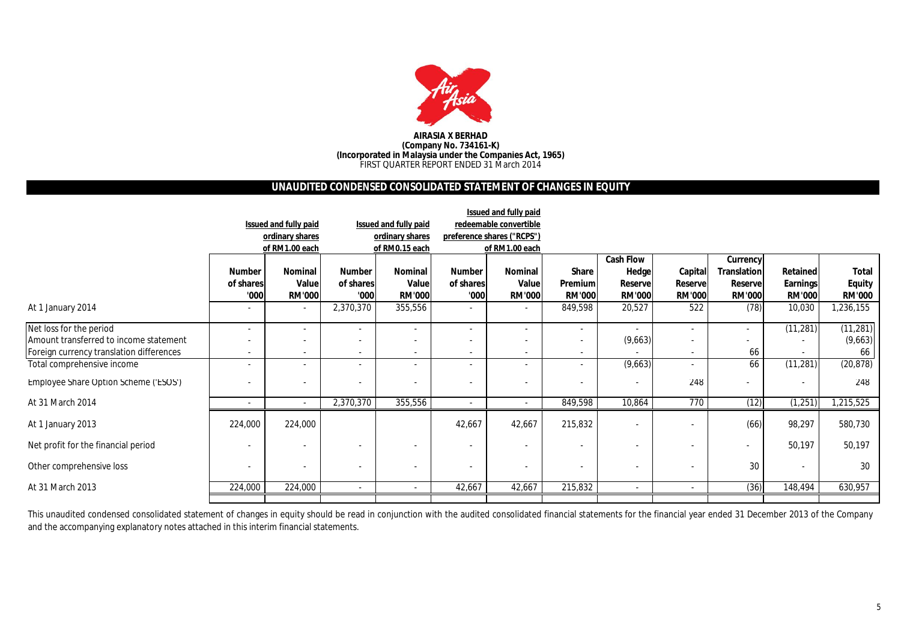

#### **AIRASIA X BERHAD (Company No. 734161-K) (Incorporated in Malaysia under the Companies Act, 1965)** FIRST QUARTER REPORT ENDED 31 March 2014

# **UNAUDITED CONDENSED CONSOLIDATED STATEMENT OF CHANGES IN EQUITY**

|                                          |               |                          |                          |                          |                          | Issued and fully paid      |                          |                  |                |                    |                          |               |
|------------------------------------------|---------------|--------------------------|--------------------------|--------------------------|--------------------------|----------------------------|--------------------------|------------------|----------------|--------------------|--------------------------|---------------|
|                                          |               | Issued and fully paid    |                          | Issued and fully paid    |                          | redeemable convertible     |                          |                  |                |                    |                          |               |
|                                          |               | ordinary shares          |                          | ordinary shares          |                          | preference shares ("RCPS") |                          |                  |                |                    |                          |               |
|                                          |               | of RM1.00 each           |                          | of RM0.15 each           |                          | of RM1.00 each             |                          |                  |                |                    |                          |               |
|                                          |               |                          |                          |                          |                          |                            |                          | <b>Cash Flow</b> |                | Currency           |                          |               |
|                                          | <b>Number</b> | Nominal                  | <b>Number</b>            | <b>Nominal</b>           | <b>Number</b>            | <b>Nominal</b>             | Share                    | Hedge            | Capital        | <b>Translation</b> | Retained                 | <b>Total</b>  |
|                                          | of shares     | Value                    | of shares                | Value                    | of shares                | Value                      | <b>Premium</b>           | <b>Reserve</b>   | <b>Reserve</b> | <b>Reserve</b>     | <b>Earnings</b>          | <b>Equity</b> |
|                                          | '000          | <b>RM'000</b>            | '000'                    | <b>RM'000</b>            | '000'                    | <b>RM'000</b>              | <b>RM'000</b>            | <b>RM'000</b>    | <b>RM'000</b>  | <b>RM'000</b>      | <b>RM'000</b>            | <b>RM'000</b> |
| At 1 January 2014                        |               |                          | 2,370,370                | 355,556                  |                          |                            | 849,598                  | 20,527           | 522            | (78)               | 10,030                   | 1,236,155     |
| Net loss for the period                  |               |                          | $\blacksquare$           | $\overline{\phantom{0}}$ | $\overline{\phantom{a}}$ | $\sim$                     | $\overline{\phantom{a}}$ | $\sim$           |                |                    | (11, 281)                | (11, 281)     |
| Amount transferred to income statement   |               |                          | ٠                        | $\overline{\phantom{0}}$ |                          | $\overline{\phantom{a}}$   |                          | (9,663)          |                |                    |                          | (9,663)       |
| Foreign currency translation differences | ٠             | $\overline{\phantom{0}}$ | $\blacksquare$           | $\overline{\phantom{a}}$ | $\overline{\phantom{a}}$ | $\sim$                     | $\sim$                   |                  |                | 66                 | $\overline{\phantom{a}}$ | 66            |
| Total comprehensive income               | ٠             |                          | ٠                        | $\overline{\phantom{0}}$ | $\overline{\phantom{a}}$ | $\overline{\phantom{a}}$   |                          | (9,663)          |                | 66                 | (11, 281)                | (20, 878)     |
| Employee Share Option Scheme ('ESOS')    |               | $\overline{\phantom{a}}$ | $\overline{\phantom{a}}$ |                          | $\overline{\phantom{a}}$ | $\overline{\phantom{a}}$   |                          |                  | 248            |                    | $\overline{a}$           | 248           |
| At 31 March 2014                         | ٠             | $\overline{\phantom{a}}$ | 2,370,370                | 355,556                  | $\blacksquare$           | $\sim$                     | 849,598                  | 10,864           | 770            | (12)               | (1, 251)                 | 1,215,525     |
| At 1 January 2013                        | 224,000       | 224,000                  |                          |                          | 42,667                   | 42,667                     | 215,832                  |                  |                | (66)               | 98,297                   | 580,730       |
| Net profit for the financial period      |               |                          | $\blacksquare$           |                          | $\blacksquare$           |                            |                          |                  |                |                    | 50,197                   | 50,197        |
| Other comprehensive loss                 |               | $\overline{\phantom{0}}$ | $\overline{\phantom{a}}$ | $\overline{\phantom{0}}$ | $\overline{\phantom{a}}$ |                            | $\overline{\phantom{a}}$ |                  |                | 30                 | $\sim$                   | 30            |
| At 31 March 2013                         | 224,000       | 224,000                  | $\overline{\phantom{a}}$ | $\sim$                   | 42,667                   | 42,667                     | 215,832                  |                  |                | (36)               | 148,494                  | 630,957       |
|                                          |               |                          |                          |                          |                          |                            |                          |                  |                |                    |                          |               |

This unaudited condensed consolidated statement of changes in equity should be read in conjunction with the audited consolidated financial statements for the financial year ended 31 December 2013 of the Company and the accompanying explanatory notes attached in this interim financial statements.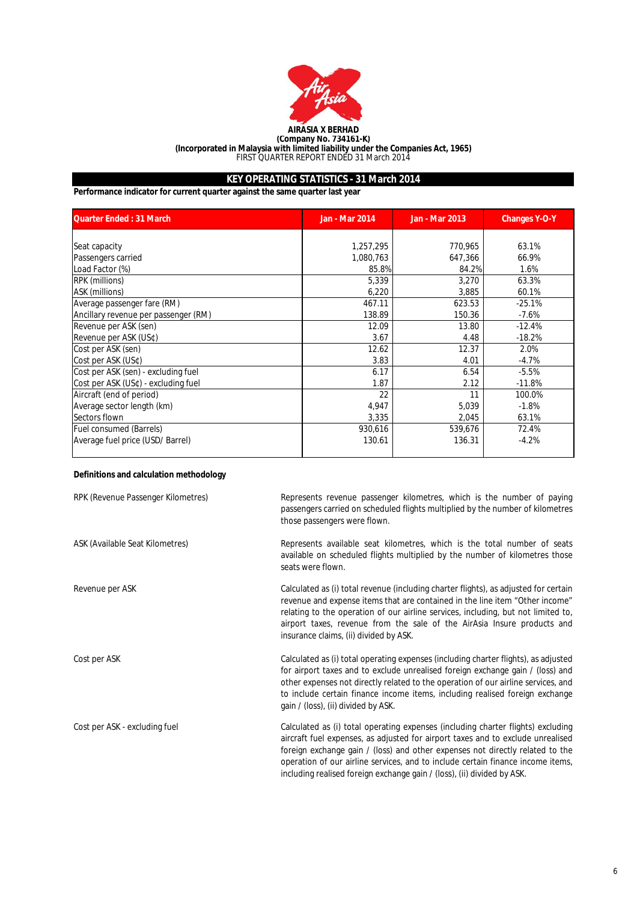

**(Incorporated in Malaysia with limited liability under the Companies Act, 1965)**

FIRST QUARTER REPORT ENDED 31 March 2014

# **KEY OPERATING STATISTICS - 31 March 2014**

**Performance indicator for current quarter against the same quarter last year**

| <b>Quarter Ended: 31 March</b>       | <b>Jan - Mar 2014</b> | <b>Jan - Mar 2013</b> | <b>Changes Y-O-Y</b> |
|--------------------------------------|-----------------------|-----------------------|----------------------|
|                                      |                       |                       |                      |
| Seat capacity                        | 1,257,295             | 770,965               | 63.1%                |
| Passengers carried                   | 1,080,763             | 647,366               | 66.9%                |
| Load Factor (%)                      | 85.8%                 | 84.2%                 | 1.6%                 |
| RPK (millions)                       | 5,339                 | 3,270                 | 63.3%                |
| ASK (millions)                       | 6,220                 | 3,885                 | 60.1%                |
| Average passenger fare (RM)          | 467.11                | 623.53                | $-25.1%$             |
| Ancillary revenue per passenger (RM) | 138.89                | 150.36                | $-7.6%$              |
| Revenue per ASK (sen)                | 12.09                 | 13.80                 | $-12.4%$             |
| Revenue per ASK (US¢)                | 3.67                  | 4.48                  | $-18.2%$             |
| Cost per ASK (sen)                   | 12.62                 | 12.37                 | 2.0%                 |
| Cost per ASK (US¢)                   | 3.83                  | 4.01                  | $-4.7%$              |
| Cost per ASK (sen) - excluding fuel  | 6.17                  | 6.54                  | $-5.5%$              |
| Cost per ASK (US¢) - excluding fuel  | 1.87                  | 2.12                  | $-11.8%$             |
| Aircraft (end of period)             | 22                    | 11                    | 100.0%               |
| Average sector length (km)           | 4,947                 | 5,039                 | $-1.8%$              |
| Sectors flown                        | 3,335                 | 2,045                 | 63.1%                |
| <b>Fuel consumed (Barrels)</b>       | 930,616               | 539,676               | 72.4%                |
| Average fuel price (USD/ Barrel)     | 130.61                | 136.31                | $-4.2%$              |

# **Definitions and calculation methodology**

| RPK (Revenue Passenger Kilometres) | Represents revenue passenger kilometres, which is the number of paying<br>passengers carried on scheduled flights multiplied by the number of kilometres<br>those passengers were flown.                                                                                                                                                                                                                           |
|------------------------------------|--------------------------------------------------------------------------------------------------------------------------------------------------------------------------------------------------------------------------------------------------------------------------------------------------------------------------------------------------------------------------------------------------------------------|
| ASK (Available Seat Kilometres)    | Represents available seat kilometres, which is the total number of seats<br>available on scheduled flights multiplied by the number of kilometres those<br>seats were flown.                                                                                                                                                                                                                                       |
| Revenue per ASK                    | Calculated as (i) total revenue (including charter flights), as adjusted for certain<br>revenue and expense items that are contained in the line item "Other income"<br>relating to the operation of our airline services, including, but not limited to,<br>airport taxes, revenue from the sale of the AirAsia Insure products and<br>insurance claims, (ii) divided by ASK.                                     |
| Cost per ASK                       | Calculated as (i) total operating expenses (including charter flights), as adjusted<br>for airport taxes and to exclude unrealised foreign exchange gain / (loss) and<br>other expenses not directly related to the operation of our airline services, and<br>to include certain finance income items, including realised foreign exchange<br>gain / (loss), (ii) divided by ASK.                                  |
| Cost per ASK - excluding fuel      | Calculated as (i) total operating expenses (including charter flights) excluding<br>aircraft fuel expenses, as adjusted for airport taxes and to exclude unrealised<br>foreign exchange gain / (loss) and other expenses not directly related to the<br>operation of our airline services, and to include certain finance income items,<br>including realised foreign exchange gain / (loss), (ii) divided by ASK. |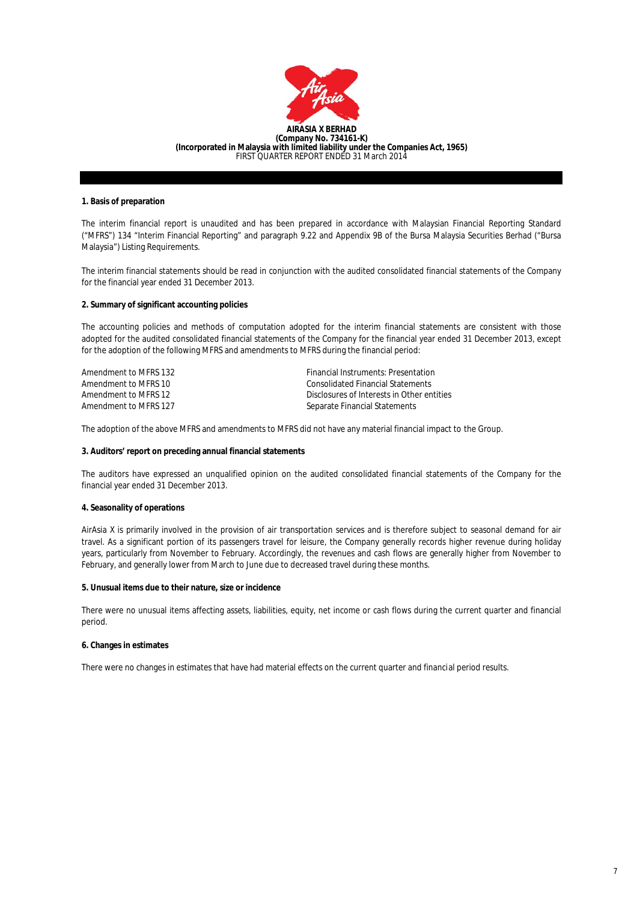

# **1. Basis of preparation**

The interim financial report is unaudited and has been prepared in accordance with Malaysian Financial Reporting Standard ("MFRS") 134 "Interim Financial Reporting" and paragraph 9.22 and Appendix 9B of the Bursa Malaysia Securities Berhad ("Bursa Malaysia") Listing Requirements.

The interim financial statements should be read in conjunction with the audited consolidated financial statements of the Company for the financial year ended 31 December 2013.

### **2. Summary of significant accounting policies**

The accounting policies and methods of computation adopted for the interim financial statements are consistent with those adopted for the audited consolidated financial statements of the Company for the financial year ended 31 December 2013, except for the adoption of the following MFRS and amendments to MFRS during the financial period:

| Amendment to MFRS 132 | Financial Instruments: Presentation        |
|-----------------------|--------------------------------------------|
| Amendment to MFRS 10  | Consolidated Financial Statements          |
| Amendment to MFRS 12  | Disclosures of Interests in Other entities |
| Amendment to MFRS 127 | Separate Financial Statements              |

The adoption of the above MFRS and amendments to MFRS did not have any material financial impact to the Group.

#### **3. Auditors' report on preceding annual financial statements**

The auditors have expressed an unqualified opinion on the audited consolidated financial statements of the Company for the financial year ended 31 December 2013.

#### **4. Seasonality of operations**

AirAsia X is primarily involved in the provision of air transportation services and is therefore subject to seasonal demand for air travel. As a significant portion of its passengers travel for leisure, the Company generally records higher revenue during holiday years, particularly from November to February. Accordingly, the revenues and cash flows are generally higher from November to February, and generally lower from March to June due to decreased travel during these months.

#### **5. Unusual items due to their nature, size or incidence**

There were no unusual items affecting assets, liabilities, equity, net income or cash flows during the current quarter and financial period.

#### **6. Changes in estimates**

There were no changes in estimates that have had material effects on the current quarter and financial period results.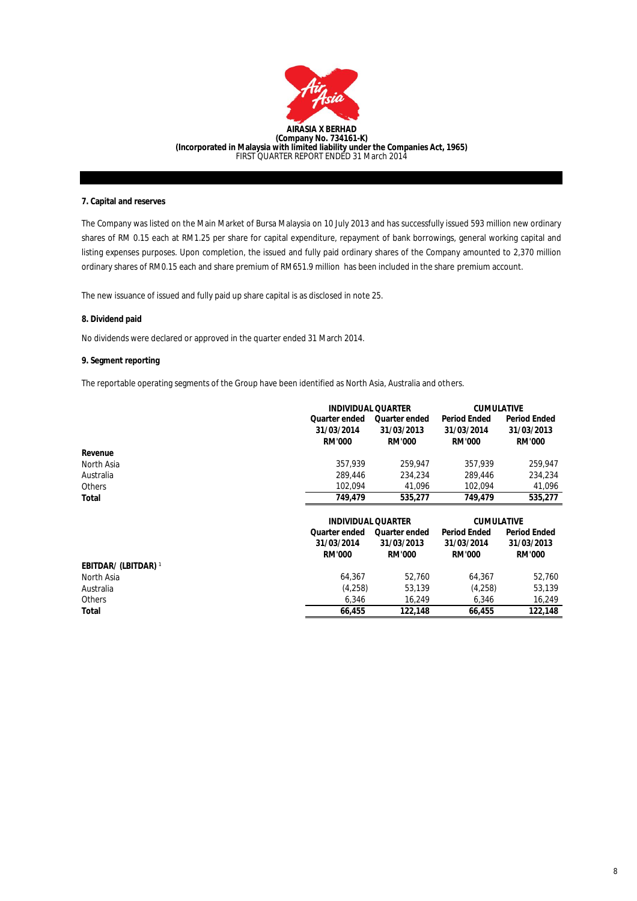

### **7. Capital and reserves**

The Company was listed on the Main Market of Bursa Malaysia on 10 July 2013 and has successfully issued 593 million new ordinary shares of RM 0.15 each at RM1.25 per share for capital expenditure, repayment of bank borrowings, general working capital and listing expenses purposes. Upon completion, the issued and fully paid ordinary shares of the Company amounted to 2,370 million ordinary shares of RM0.15 each and share premium of RM651.9 million has been included in the share premium account.

The new issuance of issued and fully paid up share capital is as disclosed in note 25.

### **8. Dividend paid**

**Total**

No dividends were declared or approved in the quarter ended 31 March 2014.

# **9. Segment reporting**

The reportable operating segments of the Group have been identified as North Asia, Australia and others.

|                             |                      | <b>INDIVIDUAL QUARTER</b> |                     | <b>CUMULATIVE</b>   |  |  |
|-----------------------------|----------------------|---------------------------|---------------------|---------------------|--|--|
|                             | <b>Quarter ended</b> | <b>Quarter ended</b>      | <b>Period Ended</b> | <b>Period Ended</b> |  |  |
|                             | 31/03/2014           | 31/03/2013                | 31/03/2014          | 31/03/2013          |  |  |
|                             | <b>RM'000</b>        | <b>RM'000</b>             | <b>RM'000</b>       | <b>RM'000</b>       |  |  |
| Revenue                     |                      |                           |                     |                     |  |  |
| North Asia                  | 357,939              | 259,947                   | 357,939             | 259,947             |  |  |
| Australia                   | 289,446              | 234.234                   | 289,446             | 234,234             |  |  |
| <b>Others</b>               | 102.094              | 41,096                    | 102.094             | 41,096              |  |  |
| Total                       | 749,479              | 535,277                   | 749,479             | 535,277             |  |  |
|                             |                      |                           |                     |                     |  |  |
|                             |                      | <b>INDIVIDUAL QUARTER</b> |                     | <b>CUMULATIVE</b>   |  |  |
|                             | <b>Quarter ended</b> | <b>Quarter ended</b>      | <b>Period Ended</b> | <b>Period Ended</b> |  |  |
|                             | 31/03/2014           | 31/03/2013                | 31/03/2014          | 31/03/2013          |  |  |
|                             | <b>RM'000</b>        | <b>RM'000</b>             | <b>RM'000</b>       | <b>RM'000</b>       |  |  |
| <b>EBITDAR/ (LBITDAR)</b> 1 |                      |                           |                     |                     |  |  |
| North Asia                  | 64.367               | 52.760                    | 64.367              | 52,760              |  |  |
| Australia                   | (4,258)              | 53,139                    | (4,258)             | 53,139              |  |  |
|                             |                      |                           |                     |                     |  |  |

 **66,455**

 **122,148**

 **66,455 122,148**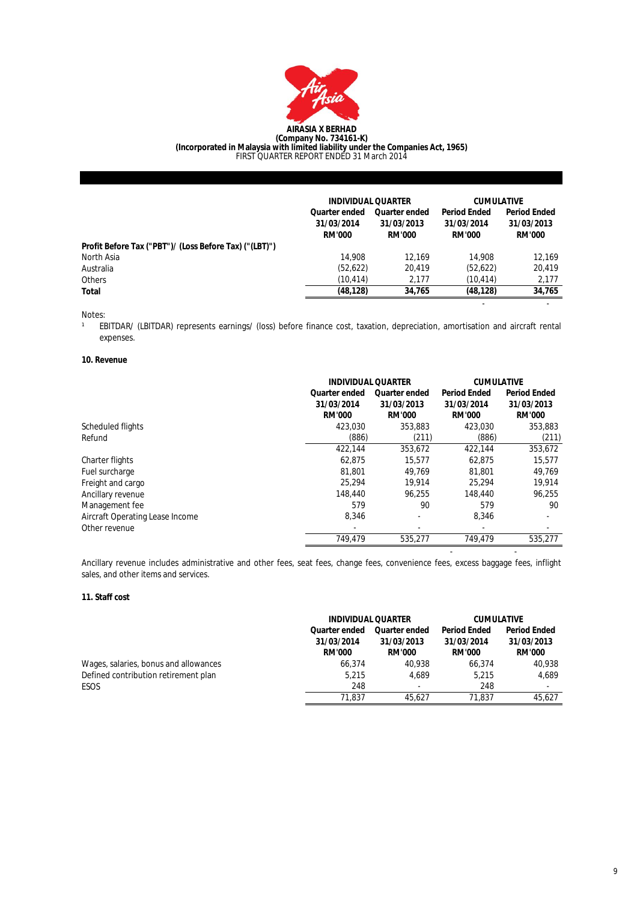

#### **AIRASIA X BERHAD (Company No. 734161-K) (Incorporated in Malaysia with limited liability under the Companies Act, 1965)** FIRST QUARTER REPORT ENDED 31 March 2014

|                                                        | <b>INDIVIDUAL QUARTER</b>                           |                                                     | <b>CUMULATIVE</b>                                  |                                                    |
|--------------------------------------------------------|-----------------------------------------------------|-----------------------------------------------------|----------------------------------------------------|----------------------------------------------------|
|                                                        | <b>Quarter ended</b><br>31/03/2014<br><b>RM'000</b> | <b>Quarter ended</b><br>31/03/2013<br><b>RM'000</b> | <b>Period Ended</b><br>31/03/2014<br><b>RM'000</b> | <b>Period Ended</b><br>31/03/2013<br><b>RM'000</b> |
| Profit Before Tax ("PBT")/ (Loss Before Tax) ("(LBT)") |                                                     |                                                     |                                                    |                                                    |
| North Asia                                             | 14,908                                              | 12.169                                              | 14,908                                             | 12.169                                             |
| Australia                                              | (52,622)                                            | 20.419                                              | (52,622)                                           | 20.419                                             |
| <b>Others</b>                                          | (10, 414)                                           | 2.177                                               | (10.414)                                           | 2,177                                              |
| Total                                                  | (48, 128)                                           | 34,765                                              | (48, 128)                                          | 34,765                                             |
|                                                        |                                                     |                                                     | ٠                                                  |                                                    |

Notes:

 $\overline{1}$ EBITDAR/ (LBITDAR) represents earnings/ (loss) before finance cost, taxation, depreciation, amortisation and aircraft rental expenses.

# **10. Revenue**

|                                 | <b>INDIVIDUAL QUARTER</b><br><b>Quarter ended</b><br>31/03/2014<br><b>RM'000</b> | <b>Quarter ended</b><br>31/03/2013<br><b>RM'000</b> | <b>CUMULATIVE</b><br><b>Period Ended</b><br>31/03/2014<br><b>RM'000</b> | <b>Period Ended</b><br>31/03/2013<br><b>RM'000</b> |
|---------------------------------|----------------------------------------------------------------------------------|-----------------------------------------------------|-------------------------------------------------------------------------|----------------------------------------------------|
| Scheduled flights               | 423.030                                                                          | 353.883                                             | 423.030                                                                 | 353.883                                            |
| Refund                          | (886)                                                                            | (211)                                               | (886)                                                                   | (211)                                              |
|                                 | 422.144                                                                          | 353.672                                             | 422.144                                                                 | 353,672                                            |
| Charter flights                 | 62.875                                                                           | 15,577                                              | 62.875                                                                  | 15.577                                             |
| Fuel surcharge                  | 81,801                                                                           | 49.769                                              | 81,801                                                                  | 49.769                                             |
| Freight and cargo               | 25.294                                                                           | 19.914                                              | 25.294                                                                  | 19,914                                             |
| Ancillary revenue               | 148,440                                                                          | 96.255                                              | 148,440                                                                 | 96.255                                             |
| Management fee                  | 579                                                                              | 90                                                  | 579                                                                     | 90                                                 |
| Aircraft Operating Lease Income | 8.346                                                                            | $\overline{\phantom{a}}$                            | 8.346                                                                   | $\overline{\phantom{a}}$                           |
| Other revenue                   | $\overline{\phantom{a}}$                                                         | $\overline{\phantom{a}}$                            | $\overline{\phantom{a}}$                                                | $\overline{\phantom{a}}$                           |
|                                 | 749.479                                                                          | 535.277                                             | 749.479                                                                 | 535.277                                            |

Ancillary revenue includes administrative and other fees, seat fees, change fees, convenience fees, excess baggage fees, inflight sales, and other items and services.

- -

## **11. Staff cost**

|                                       | <b>INDIVIDUAL QUARTER</b> |                          | <b>CUMULATIVE</b>   |                     |
|---------------------------------------|---------------------------|--------------------------|---------------------|---------------------|
|                                       | <b>Quarter ended</b>      | <b>Quarter ended</b>     | <b>Period Ended</b> | <b>Period Ended</b> |
|                                       | 31/03/2014                | 31/03/2013               | 31/03/2014          | 31/03/2013          |
|                                       | <b>RM'000</b>             | <b>RM'000</b>            | <b>RM'000</b>       | <b>RM'000</b>       |
| Wages, salaries, bonus and allowances | 66.374                    | 40.938                   | 66.374              | 40.938              |
| Defined contribution retirement plan  | 5.215                     | 4.689                    | 5.215               | 4.689               |
| ESOS                                  | 248                       | $\overline{\phantom{a}}$ | 248                 |                     |
|                                       | 71.837                    | 45.627                   | 71.837              | 45.627              |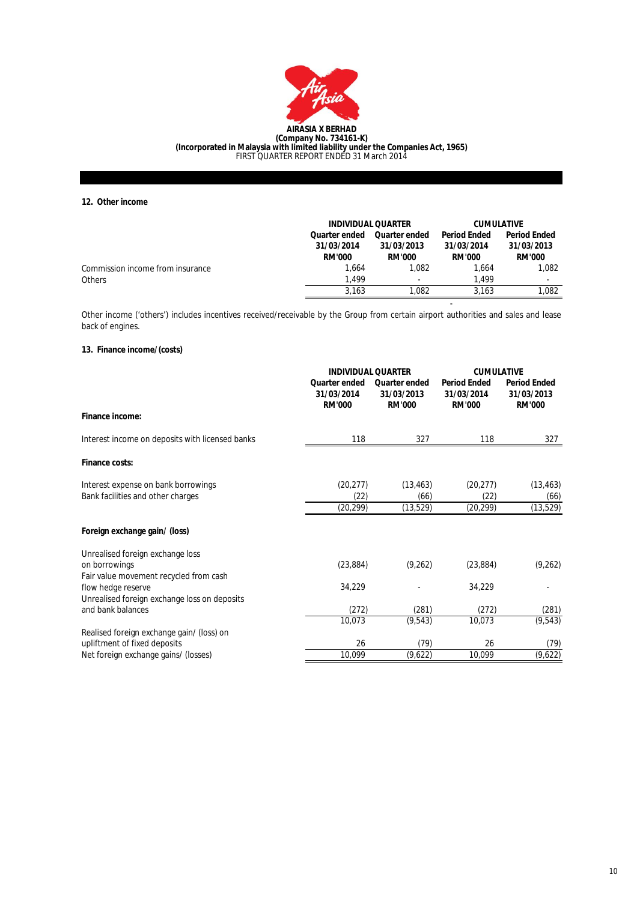

**(Incorporated in Malaysia with limited liability under the Companies Act, 1965)** FIRST QUARTER REPORT ENDED 31 March 2014

**12. Other income**

|                                  | <b>INDIVIDUAL QUARTER</b>                    |                                                     | <b>CUMULATIVE</b>                                  |                                                    |
|----------------------------------|----------------------------------------------|-----------------------------------------------------|----------------------------------------------------|----------------------------------------------------|
|                                  | Quarter ended<br>31/03/2014<br><b>RM'000</b> | <b>Quarter ended</b><br>31/03/2013<br><b>RM'000</b> | <b>Period Ended</b><br>31/03/2014<br><b>RM'000</b> | <b>Period Ended</b><br>31/03/2013<br><b>RM'000</b> |
| Commission income from insurance | 1.664                                        | 1.082                                               | 1.664                                              | 1.082                                              |
| <b>Others</b>                    | 1.499                                        | $\overline{\phantom{a}}$                            | 1.499                                              | $\overline{\phantom{a}}$                           |
|                                  | 3.163                                        | 1.082                                               | 3.163                                              | 1.082                                              |

Other income ('others') includes incentives received/receivable by the Group from certain airport authorities and sales and lease back of engines.

-

# **13. Finance income/(costs)**

|                                                                   |                                                     | <b>INDIVIDUAL QUARTER</b>                           |                                                    | <b>CUMULATIVE</b>                                  |  |
|-------------------------------------------------------------------|-----------------------------------------------------|-----------------------------------------------------|----------------------------------------------------|----------------------------------------------------|--|
|                                                                   | <b>Quarter ended</b><br>31/03/2014<br><b>RM'000</b> | <b>Quarter ended</b><br>31/03/2013<br><b>RM'000</b> | <b>Period Ended</b><br>31/03/2014<br><b>RM'000</b> | <b>Period Ended</b><br>31/03/2013<br><b>RM'000</b> |  |
| Finance income:                                                   |                                                     |                                                     |                                                    |                                                    |  |
| Interest income on deposits with licensed banks                   | 118                                                 | 327                                                 | 118                                                | 327                                                |  |
| Finance costs:                                                    |                                                     |                                                     |                                                    |                                                    |  |
| Interest expense on bank borrowings                               | (20, 277)                                           | (13, 463)                                           | (20, 277)                                          | (13, 463)                                          |  |
| Bank facilities and other charges                                 | (22)<br>(20, 299)                                   | (66)<br>(13,529)                                    | (22)<br>(20, 299)                                  | (66)<br>(13, 529)                                  |  |
| Foreign exchange gain/ (loss)                                     |                                                     |                                                     |                                                    |                                                    |  |
| Unrealised foreign exchange loss                                  |                                                     |                                                     |                                                    |                                                    |  |
| on borrowings<br>Fair value movement recycled from cash           | (23, 884)                                           | (9, 262)                                            | (23, 884)                                          | (9, 262)                                           |  |
| flow hedge reserve                                                | 34,229                                              |                                                     | 34,229                                             |                                                    |  |
| Unrealised foreign exchange loss on deposits<br>and bank balances | (272)                                               | (281)                                               | (272)                                              | (281)                                              |  |
|                                                                   | 10,073                                              | (9, 543)                                            | 10,073                                             | (9, 543)                                           |  |
| Realised foreign exchange gain/ (loss) on                         |                                                     |                                                     |                                                    |                                                    |  |
| upliftment of fixed deposits                                      | 26                                                  | (79)                                                | 26                                                 | (79)                                               |  |
| Net foreign exchange gains/ (losses)                              | 10,099                                              | (9,622)                                             | 10,099                                             | $\sqrt{9}$ ,622)                                   |  |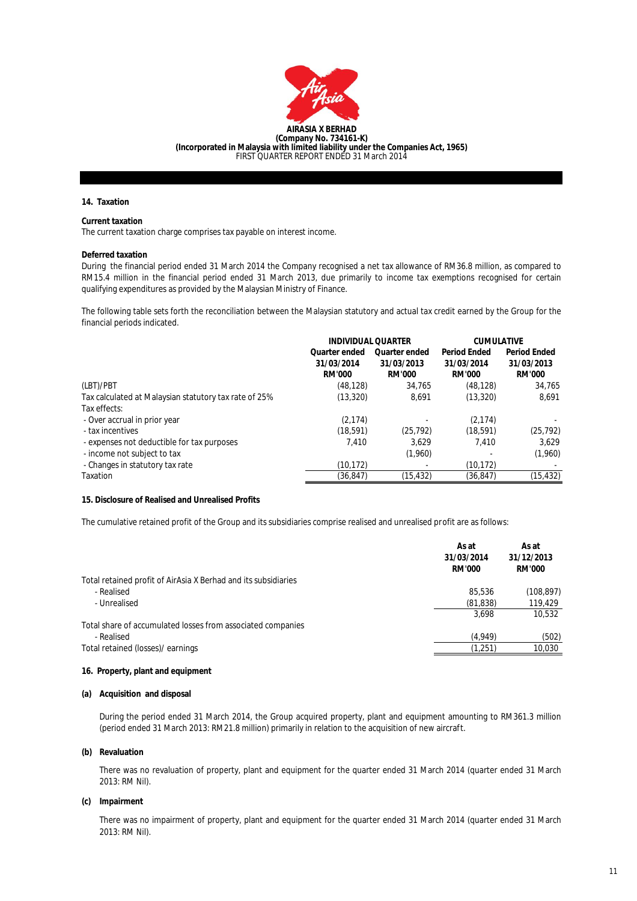

### **14. Taxation**

# **Current taxation**

The current taxation charge comprises tax payable on interest income.

#### **Deferred taxation**

During the financial period ended 31 March 2014 the Company recognised a net tax allowance of RM36.8 million, as compared to RM15.4 million in the financial period ended 31 March 2013, due primarily to income tax exemptions recognised for certain qualifying expenditures as provided by the Malaysian Ministry of Finance.

The following table sets forth the reconciliation between the Malaysian statutory and actual tax credit earned by the Group for the financial periods indicated.

|                                                       | <b>INDIVIDUAL QUARTER</b> |                      | <b>CUMULATIVE</b>   |                     |
|-------------------------------------------------------|---------------------------|----------------------|---------------------|---------------------|
|                                                       | <b>Quarter ended</b>      | <b>Quarter ended</b> | <b>Period Ended</b> | <b>Period Ended</b> |
|                                                       | 31/03/2014                | 31/03/2013           | 31/03/2014          | 31/03/2013          |
|                                                       | <b>RM'000</b>             | <b>RM'000</b>        | <b>RM'000</b>       | <b>RM'000</b>       |
| (LBT)/PBT                                             | (48, 128)                 | 34.765               | (48, 128)           | 34.765              |
| Tax calculated at Malaysian statutory tax rate of 25% | (13, 320)                 | 8.691                | (13, 320)           | 8,691               |
| Tax effects:                                          |                           |                      |                     |                     |
| - Over accrual in prior year                          | (2, 174)                  |                      | (2, 174)            |                     |
| - tax incentives                                      | (18, 591)                 | (25, 792)            | (18, 591)           | (25, 792)           |
| - expenses not deductible for tax purposes            | 7.410                     | 3.629                | 7.410               | 3.629               |
| - income not subject to tax                           |                           | (1,960)              |                     | (1,960)             |
| - Changes in statutory tax rate                       | (10, 172)                 |                      | (10, 172)           |                     |
| Taxation                                              | (36, 847)                 | (15, 432)            | (36,847)            | (15, 432)           |

# **15. Disclosure of Realised and Unrealised Profits**

The cumulative retained profit of the Group and its subsidiaries comprise realised and unrealised profit are as follows:

|                                                                | As at<br>31/03/2014<br><b>RM'000</b> | As at<br>31/12/2013<br><b>RM'000</b> |
|----------------------------------------------------------------|--------------------------------------|--------------------------------------|
| Total retained profit of AirAsia X Berhad and its subsidiaries |                                      |                                      |
| - Realised                                                     | 85,536                               | (108, 897)                           |
| - Unrealised                                                   | (81, 838)                            | 119,429                              |
|                                                                | 3.698                                | 10.532                               |
| Total share of accumulated losses from associated companies    |                                      |                                      |
| - Realised                                                     | (4,949)                              | (502)                                |
| Total retained (losses)/ earnings                              | (1,251)                              | 10.030                               |
|                                                                |                                      |                                      |

### **16. Property, plant and equipment**

#### **(a) Acquisition and disposal**

During the period ended 31 March 2014, the Group acquired property, plant and equipment amounting to RM361.3 million (period ended 31 March 2013: RM21.8 million) primarily in relation to the acquisition of new aircraft.

#### **(b) Revaluation**

There was no revaluation of property, plant and equipment for the quarter ended 31 March 2014 (quarter ended 31 March 2013: RM Nil).

#### **(c) Impairment**

There was no impairment of property, plant and equipment for the quarter ended 31 March 2014 (quarter ended 31 March 2013: RM Nil).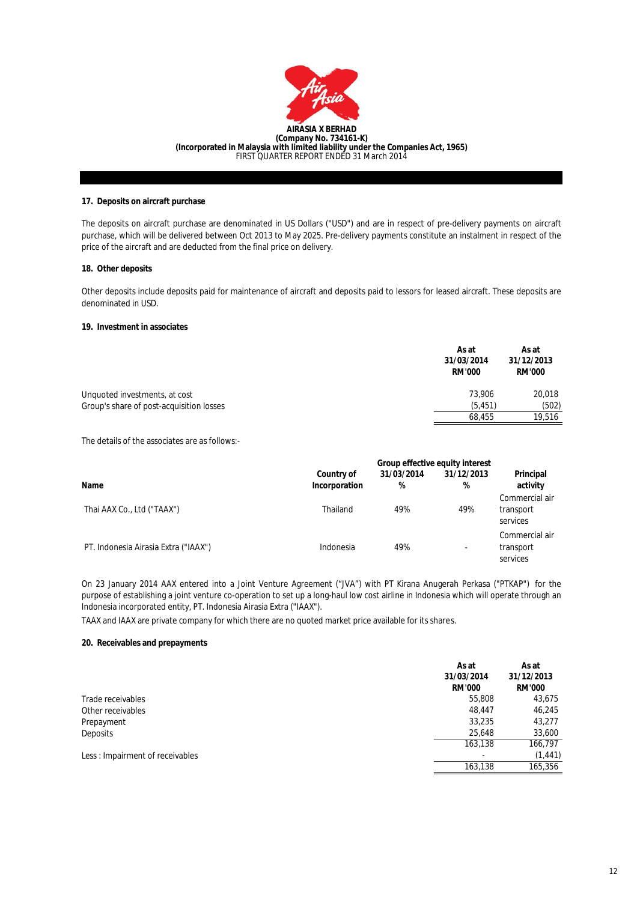

### **17. Deposits on aircraft purchase**

The deposits on aircraft purchase are denominated in US Dollars ("USD") and are in respect of pre-delivery payments on aircraft purchase, which will be delivered between Oct 2013 to May 2025. Pre-delivery payments constitute an instalment in respect of the price of the aircraft and are deducted from the final price on delivery.

### **18. Other deposits**

Other deposits include deposits paid for maintenance of aircraft and deposits paid to lessors for leased aircraft. These deposits are denominated in USD.

### **19. Investment in associates**

|                                          | As at<br>31/03/2014<br><b>RM'000</b> | As at<br>31/12/2013<br><b>RM'000</b> |
|------------------------------------------|--------------------------------------|--------------------------------------|
| Unquoted investments, at cost            | 73.906                               | 20.018                               |
| Group's share of post-acquisition losses | (5.451)                              | (502)                                |
|                                          | 68.455                               | 19,516                               |

The details of the associates are as follows:-

|                                      |                                    | Group effective equity interest |                          |                                         |  |
|--------------------------------------|------------------------------------|---------------------------------|--------------------------|-----------------------------------------|--|
| <b>Name</b>                          | <b>Country of</b><br>Incorporation | 31/03/2014<br>%                 | 31/12/2013<br>%          | Principal<br>activity                   |  |
| Thai AAX Co., Ltd ("TAAX")           | Thailand                           | 49%                             | 49%                      | Commercial air<br>transport<br>services |  |
| PT. Indonesia Airasia Extra ("IAAX") | Indonesia                          | 49%                             | $\overline{\phantom{a}}$ | Commercial air<br>transport<br>services |  |

On 23 January 2014 AAX entered into a Joint Venture Agreement ("JVA") with PT Kirana Anugerah Perkasa ("PTKAP") for the purpose of establishing a joint venture co-operation to set up a long-haul low cost airline in Indonesia which will operate through an Indonesia incorporated entity, PT. Indonesia Airasia Extra ("IAAX").

TAAX and IAAX are private company for which there are no quoted market price available for its shares.

#### **20. Receivables and prepayments**

|                                 | As at<br>31/03/2014<br><b>RM'000</b> | As at<br>31/12/2013<br><b>RM'000</b> |
|---------------------------------|--------------------------------------|--------------------------------------|
| Trade receivables               | 55,808                               | 43,675                               |
| Other receivables               | 48.447                               | 46,245                               |
| Prepayment                      | 33,235                               | 43,277                               |
| Deposits                        | 25,648                               | 33,600                               |
|                                 | 163,138                              | 166,797                              |
| Less: Impairment of receivables |                                      | (1, 441)                             |
|                                 | 163.138                              | 165,356                              |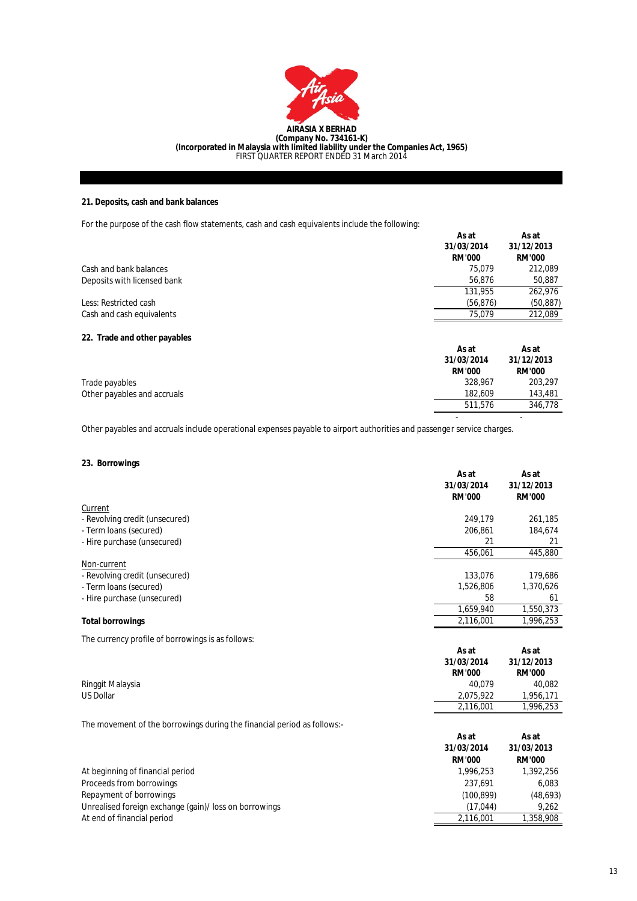

# **21. Deposits, cash and bank balances**

For the purpose of the cash flow statements, cash and cash equivalents include the following:

|                              | As at<br>31/03/2014<br><b>RM'000</b> | As at<br>31/12/2013<br><b>RM'000</b> |
|------------------------------|--------------------------------------|--------------------------------------|
| Cash and bank balances       | 75.079                               | 212,089                              |
| Deposits with licensed bank  | 56.876                               | 50,887                               |
|                              | 131.955                              | 262,976                              |
| Less: Restricted cash        | (56, 876)                            | (50, 887)                            |
| Cash and cash equivalents    | 75,079                               | 212,089                              |
| 22. Trade and other payables |                                      |                                      |
|                              | As at                                | As at                                |
|                              | 31/03/2014                           | 31/12/2013                           |
|                              | <b>RM'000</b>                        | <b>RM'000</b>                        |
| Trade payables               | 328,967                              | 203.297                              |

 $\sim$  -  $\sim$  -  $\sim$   $\sim$   $\sim$   $\sim$   $\sim$ Other payables and accruals include operational expenses payable to airport authorities and passenger service charges.

# **23. Borrowings**

Other payables and accruals

|                                                   | As at<br>31/03/2014<br><b>RM'000</b> | As at<br>31/12/2013<br><b>RM'000</b> |
|---------------------------------------------------|--------------------------------------|--------------------------------------|
| Current                                           |                                      |                                      |
| - Revolving credit (unsecured)                    | 249,179                              | 261,185                              |
| - Term Ioans (secured)                            | 206,861                              | 184,674                              |
| - Hire purchase (unsecured)                       | 21                                   | 21                                   |
|                                                   | 456,061                              | 445,880                              |
| Non-current                                       |                                      |                                      |
| - Revolving credit (unsecured)                    | 133,076                              | 179,686                              |
| - Term Ioans (secured)                            | 1,526,806                            | 1,370,626                            |
| - Hire purchase (unsecured)                       | 58                                   | 61                                   |
|                                                   | 1,659,940                            | 1,550,373                            |
| <b>Total borrowings</b>                           | 2,116,001                            | 1,996,253                            |
| The currency profile of borrowings is as follows: |                                      |                                      |
|                                                   | As at                                | As at                                |
|                                                   | 31/03/2014                           | 31/12/2013                           |
|                                                   | <b>RM'000</b>                        | <b>RM'000</b>                        |
| Ringgit Malaysia                                  | 40,079                               | 40,082                               |
| <b>US Dollar</b>                                  | 2,075,922                            | 1,956,171                            |
|                                                   | 2,116,001                            | 1,996,253                            |

The movement of the borrowings during the financial period as follows:-

|                                                        | As at<br>31/03/2014<br><b>RM'000</b> | As at<br>31/03/2013<br><b>RM'000</b> |
|--------------------------------------------------------|--------------------------------------|--------------------------------------|
| At beginning of financial period                       | 1.996.253                            | 1,392,256                            |
| Proceeds from borrowings                               | 237.691                              | 6.083                                |
| Repayment of borrowings                                | (100, 899)                           | (48, 693)                            |
| Unrealised foreign exchange (gain)/ loss on borrowings | (17.044)                             | 9.262                                |
| At end of financial period                             | 2.116.001                            | 1,358,908                            |

143,481<br>346,778

511,576

182,609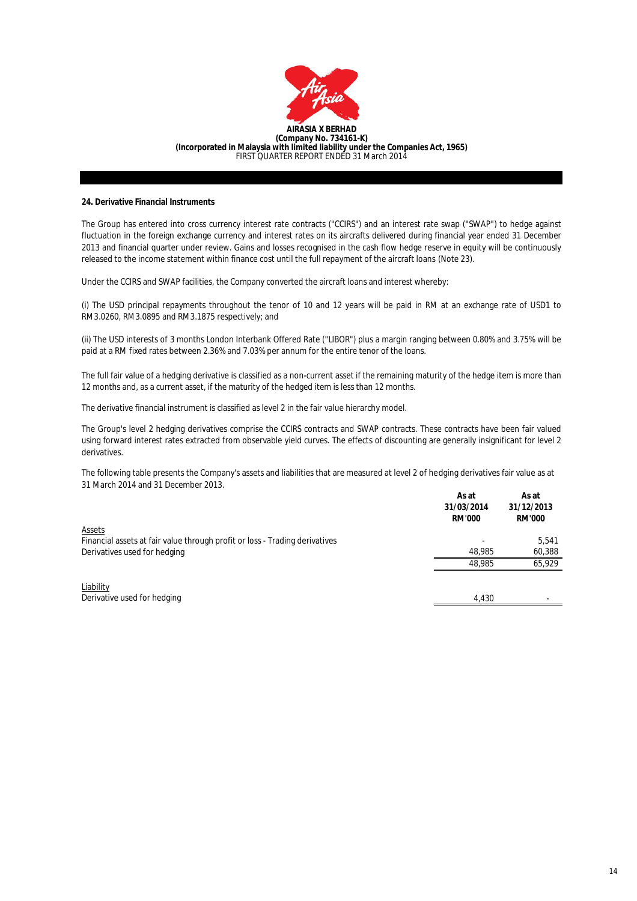

#### **24. Derivative Financial Instruments**

The Group has entered into cross currency interest rate contracts ("CCIRS") and an interest rate swap ("SWAP") to hedge against fluctuation in the foreign exchange currency and interest rates on its aircrafts delivered during financial year ended 31 December 2013 and financial quarter under review. Gains and losses recognised in the cash flow hedge reserve in equity will be continuously released to the income statement within finance cost until the full repayment of the aircraft loans (Note 23).

Under the CCIRS and SWAP facilities, the Company converted the aircraft loans and interest whereby:

(i) The USD principal repayments throughout the tenor of 10 and 12 years will be paid in RM at an exchange rate of USD1 to RM3.0260, RM3.0895 and RM3.1875 respectively; and

(ii) The USD interests of 3 months London Interbank Offered Rate ("LIBOR") plus a margin ranging between 0.80% and 3.75% will be paid at a RM fixed rates between 2.36% and 7.03% per annum for the entire tenor of the loans.

The full fair value of a hedging derivative is classified as a non-current asset if the remaining maturity of the hedge item is more than 12 months and, as a current asset, if the maturity of the hedged item is less than 12 months.

The derivative financial instrument is classified as level 2 in the fair value hierarchy model.

The Group's level 2 hedging derivatives comprise the CCIRS contracts and SWAP contracts. These contracts have been fair valued using forward interest rates extracted from observable yield curves. The effects of discounting are generally insignificant for level 2 derivatives.

The following table presents the Company's assets and liabilities that are measured at level 2 of hedging derivatives fair value as at 31 March 2014 and 31 December 2013.

|                                                                             | As at<br>31/03/2014<br><b>RM'000</b> | As at<br>31/12/2013<br><b>RM'000</b> |
|-----------------------------------------------------------------------------|--------------------------------------|--------------------------------------|
| <b>Assets</b>                                                               |                                      |                                      |
| Financial assets at fair value through profit or loss - Trading derivatives |                                      | 5.541                                |
| Derivatives used for hedging                                                | 48.985                               | 60,388                               |
|                                                                             | 48.985                               | 65.929                               |
|                                                                             |                                      |                                      |
| Liability                                                                   |                                      |                                      |
| Derivative used for hedging                                                 | 4.430                                |                                      |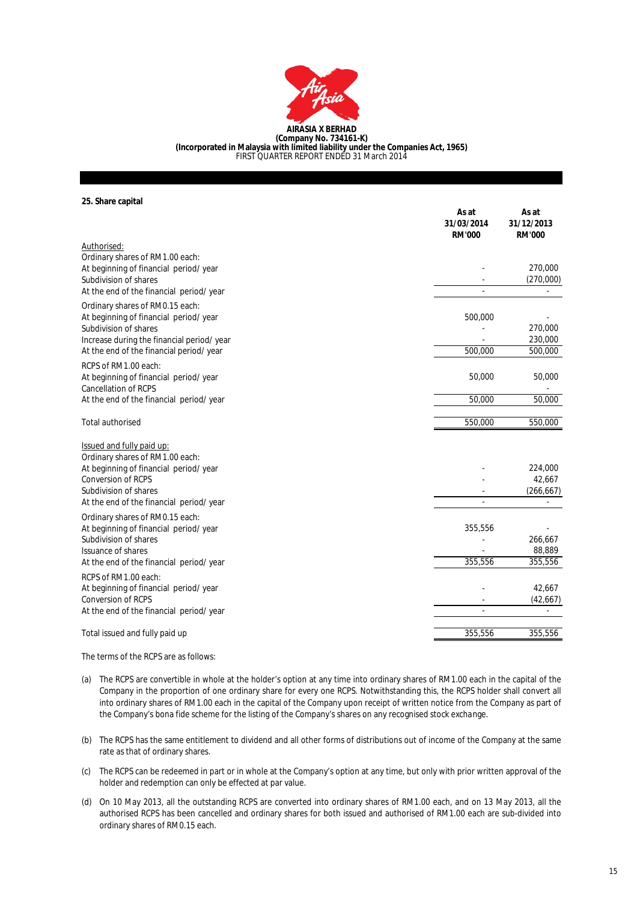

**(Company No. 734161-K) (Incorporated in Malaysia with limited liability under the Companies Act, 1965)** FIRST QUARTER REPORT ENDED 31 March 2014

**25. Share capital**

|                                            | As at<br>31/03/2014<br><b>RM'000</b> | As at<br>31/12/2013<br><b>RM'000</b> |
|--------------------------------------------|--------------------------------------|--------------------------------------|
| Authorised:                                |                                      |                                      |
| Ordinary shares of RM1.00 each:            |                                      |                                      |
| At beginning of financial period/ year     |                                      | 270,000                              |
| Subdivision of shares                      |                                      | (270,000)                            |
| At the end of the financial period/ year   |                                      |                                      |
| Ordinary shares of RM0.15 each:            |                                      |                                      |
| At beginning of financial period/year      | 500,000                              |                                      |
| Subdivision of shares                      |                                      | 270,000                              |
| Increase during the financial period/ year | 500,000                              | 230,000<br>500,000                   |
| At the end of the financial period/year    |                                      |                                      |
| RCPS of RM1.00 each:                       |                                      |                                      |
| At beginning of financial period/ year     | 50,000                               | 50,000                               |
| Cancellation of RCPS                       |                                      |                                      |
| At the end of the financial period/ year   | 50,000                               | 50,000                               |
| <b>Total authorised</b>                    | 550,000                              | 550,000                              |
| <b>Issued and fully paid up:</b>           |                                      |                                      |
| Ordinary shares of RM1.00 each:            |                                      |                                      |
| At beginning of financial period/year      |                                      | 224,000                              |
| <b>Conversion of RCPS</b>                  |                                      | 42,667                               |
| Subdivision of shares                      |                                      | (266, 667)                           |
| At the end of the financial period/ year   |                                      |                                      |
| Ordinary shares of RM0.15 each:            |                                      |                                      |
| At beginning of financial period/ year     | 355,556                              |                                      |
| Subdivision of shares                      |                                      | 266,667                              |
| <b>Issuance of shares</b>                  |                                      | 88,889                               |
| At the end of the financial period/ year   | 355,556                              | 355,556                              |
| RCPS of RM1.00 each:                       |                                      |                                      |
| At beginning of financial period/ year     |                                      | 42,667                               |
| <b>Conversion of RCPS</b>                  |                                      | (42, 667)                            |
| At the end of the financial period/ year   |                                      |                                      |
| Total issued and fully paid up             | 355,556                              | 355,556                              |
|                                            |                                      |                                      |

The terms of the RCPS are as follows:

- (a) The RCPS are convertible in whole at the holder's option at any time into ordinary shares of RM1.00 each in the capital of the Company in the proportion of one ordinary share for every one RCPS. Notwithstanding this, the RCPS holder shall convert all into ordinary shares of RM1.00 each in the capital of the Company upon receipt of written notice from the Company as part of the Company's bona fide scheme for the listing of the Company's shares on any recognised stock exchange.
- (b) The RCPS has the same entitlement to dividend and all other forms of distributions out of income of the Company at the same rate as that of ordinary shares.
- (c) The RCPS can be redeemed in part or in whole at the Company's option at any time, but only with prior written approval of the holder and redemption can only be effected at par value.
- (d) On 10 May 2013, all the outstanding RCPS are converted into ordinary shares of RM1.00 each, and on 13 May 2013, all the authorised RCPS has been cancelled and ordinary shares for both issued and authorised of RM1.00 each are sub-divided into ordinary shares of RM0.15 each.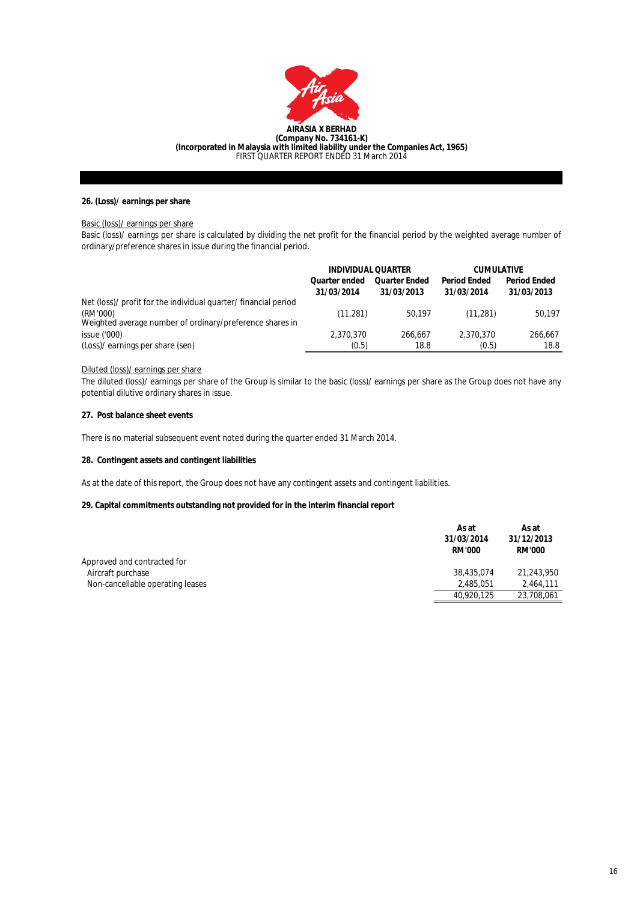

## **26. (Loss)/ earnings per share**

### Basic (loss)/ earnings per share

Basic (loss)/ earnings per share is calculated by dividing the net profit for the financial period by the weighted average number of ordinary/preference shares in issue during the financial period.

|                                                                      | <b>INDIVIDUAL QUARTER</b>          |                                    | <b>CUMULATIVE</b>                 |                                   |
|----------------------------------------------------------------------|------------------------------------|------------------------------------|-----------------------------------|-----------------------------------|
|                                                                      | <b>Quarter ended</b><br>31/03/2014 | <b>Quarter Ended</b><br>31/03/2013 | <b>Period Ended</b><br>31/03/2014 | <b>Period Ended</b><br>31/03/2013 |
| Net (loss)/ profit for the individual quarter/ financial period      |                                    |                                    |                                   |                                   |
| (RM'000)<br>Weighted average number of ordinary/preference shares in | (11, 281)                          | 50.197                             | (11.281)                          | 50.197                            |
| issue('000)                                                          | 2,370,370                          | 266.667                            | 2,370,370                         | 266.667                           |
| (Loss)/ earnings per share (sen)                                     | (0.5)                              | 18.8                               | (0.5)                             | 18.8                              |

### Diluted (loss)/ earnings per share

The diluted (loss)/ earnings per share of the Group is similar to the basic (loss)/ earnings per share as the Group does not have any potential dilutive ordinary shares in issue.

# **27. Post balance sheet events**

There is no material subsequent event noted during the quarter ended 31 March 2014.

### **28. Contingent assets and contingent liabilities**

As at the date of this report, the Group does not have any contingent assets and contingent liabilities.

# **29. Capital commitments outstanding not provided for in the interim financial report**

|                                  | As at<br>31/03/2014<br><b>RM'000</b> | As at<br>31/12/2013<br><b>RM'000</b> |
|----------------------------------|--------------------------------------|--------------------------------------|
| Approved and contracted for      |                                      |                                      |
| Aircraft purchase                | 38,435,074                           | 21,243,950                           |
| Non-cancellable operating leases | 2.485.051                            | 2.464.111                            |
|                                  | 40,920,125                           | 23,708,061                           |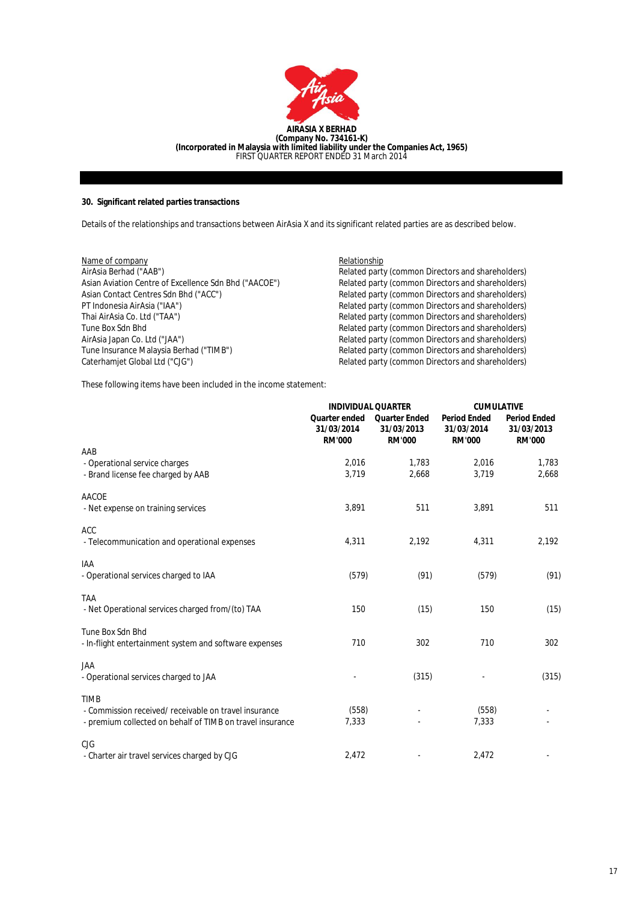

# **30. Significant related parties transactions**

Details of the relationships and transactions between AirAsia X and its significant related parties are as described below.

| Name of company                                       | Relationship                                      |
|-------------------------------------------------------|---------------------------------------------------|
| AirAsia Berhad ("AAB")                                | Related party (common Directors and shareholders) |
| Asian Aviation Centre of Excellence Sdn Bhd ("AACOE") | Related party (common Directors and shareholders) |
| Asian Contact Centres Sdn Bhd ("ACC")                 | Related party (common Directors and shareholders) |
| PT Indonesia AirAsia ("IAA")                          | Related party (common Directors and shareholders) |
| Thai AirAsia Co. Ltd ("TAA")                          | Related party (common Directors and shareholders) |
| Tune Box Sdn Bhd                                      | Related party (common Directors and shareholders) |
| AirAsia Japan Co. Ltd ("JAA")                         | Related party (common Directors and shareholders) |
| Tune Insurance Malaysia Berhad ("TIMB")               | Related party (common Directors and shareholders) |
| Caterhamiet Global Ltd ("CJG")                        | Related party (common Directors and shareholders) |
|                                                       |                                                   |

These following items have been included in the income statement:

|                                                           | <b>INDIVIDUAL QUARTER</b>                    |                                                     | <b>CUMULATIVE</b>                                  |                                                    |
|-----------------------------------------------------------|----------------------------------------------|-----------------------------------------------------|----------------------------------------------------|----------------------------------------------------|
|                                                           | Quarter ended<br>31/03/2014<br><b>RM'000</b> | <b>Quarter Ended</b><br>31/03/2013<br><b>RM'000</b> | <b>Period Ended</b><br>31/03/2014<br><b>RM'000</b> | <b>Period Ended</b><br>31/03/2013<br><b>RM'000</b> |
| AAB                                                       |                                              |                                                     |                                                    |                                                    |
| - Operational service charges                             | 2,016                                        | 1.783                                               | 2,016                                              | 1,783                                              |
| - Brand license fee charged by AAB                        | 3,719                                        | 2,668                                               | 3,719                                              | 2,668                                              |
| <b>AACOE</b>                                              |                                              |                                                     |                                                    |                                                    |
| - Net expense on training services                        | 3,891                                        | 511                                                 | 3,891                                              | 511                                                |
| <b>ACC</b>                                                |                                              |                                                     |                                                    |                                                    |
| - Telecommunication and operational expenses              | 4,311                                        | 2,192                                               | 4,311                                              | 2,192                                              |
| IAA                                                       |                                              |                                                     |                                                    |                                                    |
| - Operational services charged to IAA                     | (579)                                        | (91)                                                | (579)                                              | (91)                                               |
| <b>TAA</b>                                                |                                              |                                                     |                                                    |                                                    |
| - Net Operational services charged from/(to) TAA          | 150                                          | (15)                                                | 150                                                | (15)                                               |
| Tune Box Sdn Bhd                                          |                                              |                                                     |                                                    |                                                    |
| - In-flight entertainment system and software expenses    | 710                                          | 302                                                 | 710                                                | 302                                                |
| <b>JAA</b>                                                |                                              |                                                     |                                                    |                                                    |
| - Operational services charged to JAA                     |                                              | (315)                                               |                                                    | (315)                                              |
| <b>TIMB</b>                                               |                                              |                                                     |                                                    |                                                    |
| - Commission received/ receivable on travel insurance     | (558)                                        |                                                     | (558)                                              |                                                    |
| - premium collected on behalf of TIMB on travel insurance | 7,333                                        |                                                     | 7,333                                              |                                                    |
| CJG                                                       |                                              |                                                     |                                                    |                                                    |
| - Charter air travel services charged by CJG              | 2,472                                        |                                                     | 2,472                                              |                                                    |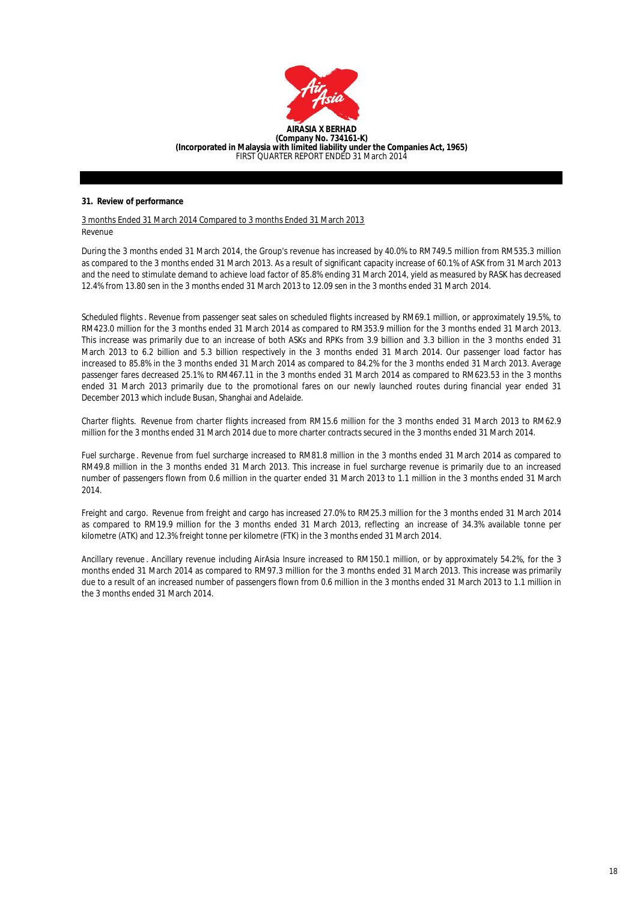

### **31. Review of performance**

3 months Ended 31 March 2014 Compared to 3 months Ended 31 March 2013 Revenue

During the 3 months ended 31 March 2014, the Group's revenue has increased by 40.0% to RM749.5 million from RM535.3 million as compared to the 3 months ended 31 March 2013. As a result of significant capacity increase of 60.1% of ASK from 31 March 2013 and the need to stimulate demand to achieve load factor of 85.8% ending 31 March 2014, yield as measured by RASK has decreased 12.4% from 13.80 sen in the 3 months ended 31 March 2013 to 12.09 sen in the 3 months ended 31 March 2014.

*Scheduled flights*. Revenue from passenger seat sales on scheduled flights increased by RM69.1 million, or approximately 19.5%, to RM423.0 million for the 3 months ended 31 March 2014 as compared to RM353.9 million for the 3 months ended 31 March 2013. This increase was primarily due to an increase of both ASKs and RPKs from 3.9 billion and 3.3 billion in the 3 months ended 31 March 2013 to 6.2 billion and 5.3 billion respectively in the 3 months ended 31 March 2014. Our passenger load factor has increased to 85.8% in the 3 months ended 31 March 2014 as compared to 84.2% for the 3 months ended 31 March 2013. Average passenger fares decreased 25.1% to RM467.11 in the 3 months ended 31 March 2014 as compared to RM623.53 in the 3 months ended 31 March 2013 primarily due to the promotional fares on our newly launched routes during financial year ended 31 December 2013 which include Busan, Shanghai and Adelaide.

*Charter flights.* Revenue from charter flights increased from RM15.6 million for the 3 months ended 31 March 2013 to RM62.9 million for the 3 months ended 31 March 2014 due to more charter contracts secured in the 3 months ended 31 March 2014.

*Fuel surcharge* . Revenue from fuel surcharge increased to RM81.8 million in the 3 months ended 31 March 2014 as compared to RM49.8 million in the 3 months ended 31 March 2013. This increase in fuel surcharge revenue is primarily due to an increased number of passengers flown from 0.6 million in the quarter ended 31 March 2013 to 1.1 million in the 3 months ended 31 March 2014.

*Freight and cargo.* Revenue from freight and cargo has increased 27.0% to RM25.3 million for the 3 months ended 31 March 2014 as compared to RM19.9 million for the 3 months ended 31 March 2013, reflecting an increase of 34.3% available tonne per kilometre (ATK) and 12.3% freight tonne per kilometre (FTK) in the 3 months ended 31 March 2014.

*Ancillary revenue* . Ancillary revenue including AirAsia Insure increased to RM150.1 million, or by approximately 54.2%, for the 3 months ended 31 March 2014 as compared to RM97.3 million for the 3 months ended 31 March 2013. This increase was primarily due to a result of an increased number of passengers flown from 0.6 million in the 3 months ended 31 March 2013 to 1.1 million in the 3 months ended 31 March 2014.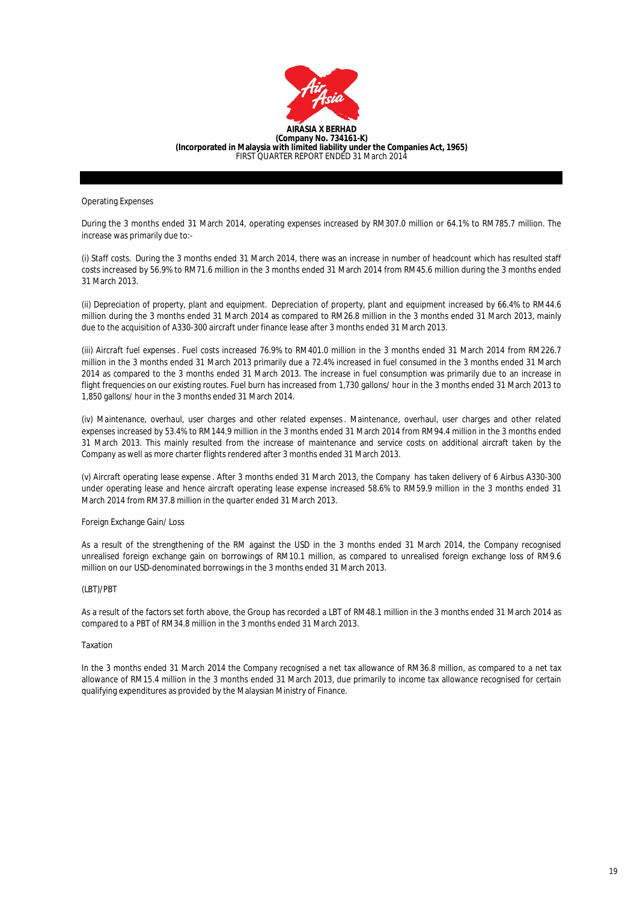

Operating Expenses

During the 3 months ended 31 March 2014, operating expenses increased by RM307.0 million or 64.1% to RM785.7 million. The increase was primarily due to:-

(i) *Staff costs.* During the 3 months ended 31 March 2014, there was an increase in number of headcount which has resulted staff costs increased by 56.9% to RM71.6 million in the 3 months ended 31 March 2014 from RM45.6 million during the 3 months ended 31 March 2013.

(ii) *Depreciation of property, plant and equipment.* Depreciation of property, plant and equipment increased by 66.4% to RM44.6 million during the 3 months ended 31 March 2014 as compared to RM26.8 million in the 3 months ended 31 March 2013, mainly due to the acquisition of A330-300 aircraft under finance lease after 3 months ended 31 March 2013.

(iii) *Aircraft fuel expenses*. Fuel costs increased 76.9% to RM401.0 million in the 3 months ended 31 March 2014 from RM226.7 million in the 3 months ended 31 March 2013 primarily due a 72.4% increased in fuel consumed in the 3 months ended 31 March 2014 as compared to the 3 months ended 31 March 2013. The increase in fuel consumption was primarily due to an increase in flight frequencies on our existing routes. Fuel burn has increased from 1,730 gallons/ hour in the 3 months ended 31 March 2013 to 1,850 gallons/ hour in the 3 months ended 31 March 2014.

(iv) *Maintenance, overhaul, user charges and other related expenses*. Maintenance, overhaul, user charges and other related expenses increased by 53.4% to RM144.9 million in the 3 months ended 31 March 2014 from RM94.4 million in the 3 months ended 31 March 2013. This mainly resulted from the increase of maintenance and service costs on additional aircraft taken by the Company as well as more charter flights rendered after 3 months ended 31 March 2013.

(v) *Aircraft operating lease expense* . After 3 months ended 31 March 2013, the Company has taken delivery of 6 Airbus A330-300 under operating lease and hence aircraft operating lease expense increased 58.6% to RM59.9 million in the 3 months ended 31 March 2014 from RM37.8 million in the quarter ended 31 March 2013.

Foreign Exchange Gain/ Loss

As a result of the strengthening of the RM against the USD in the 3 months ended 31 March 2014, the Company recognised unrealised foreign exchange gain on borrowings of RM10.1 million, as compared to unrealised foreign exchange loss of RM9.6 million on our USD-denominated borrowings in the 3 months ended 31 March 2013.

## (LBT)/PBT

As a result of the factors set forth above, the Group has recorded a LBT of RM48.1 million in the 3 months ended 31 March 2014 as compared to a PBT of RM34.8 million in the 3 months ended 31 March 2013.

#### Taxation

In the 3 months ended 31 March 2014 the Company recognised a net tax allowance of RM36.8 million, as compared to a net tax allowance of RM15.4 million in the 3 months ended 31 March 2013, due primarily to income tax allowance recognised for certain qualifying expenditures as provided by the Malaysian Ministry of Finance.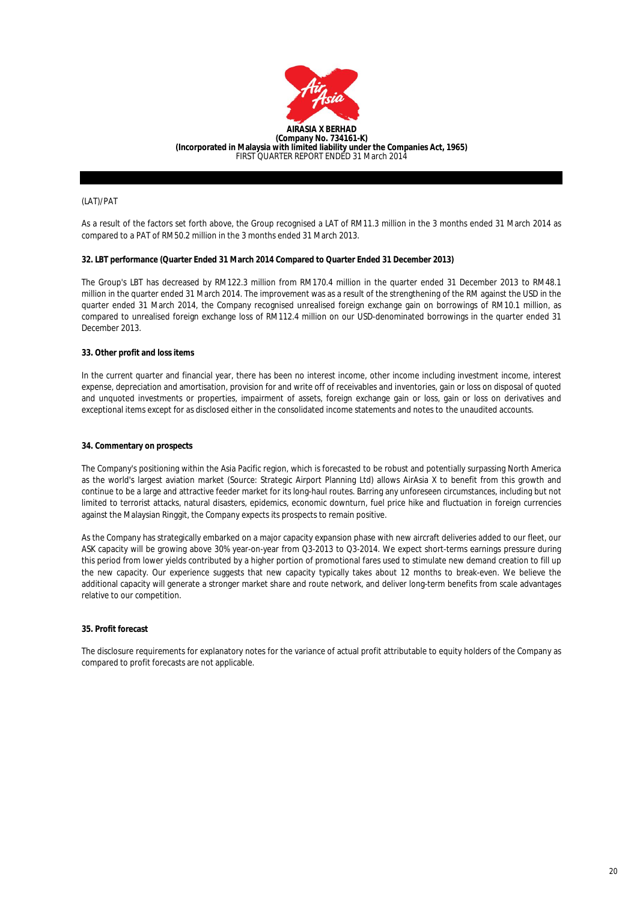

### (LAT)/PAT

As a result of the factors set forth above, the Group recognised a LAT of RM11.3 million in the 3 months ended 31 March 2014 as compared to a PAT of RM50.2 million in the 3 months ended 31 March 2013.

### **32. LBT performance (Quarter Ended 31 March 2014 Compared to Quarter Ended 31 December 2013)**

The Group's LBT has decreased by RM122.3 million from RM170.4 million in the quarter ended 31 December 2013 to RM48.1 million in the quarter ended 31 March 2014. The improvement was as a result of the strengthening of the RM against the USD in the quarter ended 31 March 2014, the Company recognised unrealised foreign exchange gain on borrowings of RM10.1 million, as compared to unrealised foreign exchange loss of RM112.4 million on our USD-denominated borrowings in the quarter ended 31 December 2013.

# **33. Other profit and loss items**

In the current quarter and financial year, there has been no interest income, other income including investment income, interest expense, depreciation and amortisation, provision for and write off of receivables and inventories, gain or loss on disposal of quoted and unquoted investments or properties, impairment of assets, foreign exchange gain or loss, gain or loss on derivatives and exceptional items except for as disclosed either in the consolidated income statements and notes to the unaudited accounts.

#### **34. Commentary on prospects**

The Company's positioning within the Asia Pacific region, which is forecasted to be robust and potentially surpassing North America as the world's largest aviation market (Source: Strategic Airport Planning Ltd) allows AirAsia X to benefit from this growth and continue to be a large and attractive feeder market for its long-haul routes. Barring any unforeseen circumstances, including but not limited to terrorist attacks, natural disasters, epidemics, economic downturn, fuel price hike and fluctuation in foreign currencies against the Malaysian Ringgit, the Company expects its prospects to remain positive.

As the Company has strategically embarked on a major capacity expansion phase with new aircraft deliveries added to our fleet, our ASK capacity will be growing above 30% year-on-year from Q3-2013 to Q3-2014. We expect short-terms earnings pressure during this period from lower yields contributed by a higher portion of promotional fares used to stimulate new demand creation to fill up the new capacity. Our experience suggests that new capacity typically takes about 12 months to break-even. We believe the additional capacity will generate a stronger market share and route network, and deliver long-term benefits from scale advantages relative to our competition.

## **35. Profit forecast**

The disclosure requirements for explanatory notes for the variance of actual profit attributable to equity holders of the Company as compared to profit forecasts are not applicable.